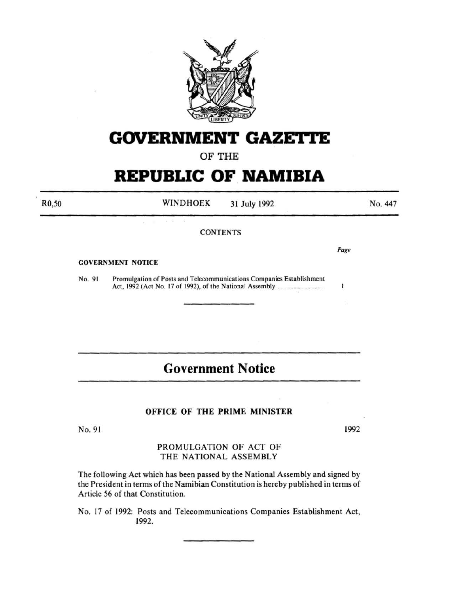

# **GOVERNMENT GAZETTE**

OF THE

# **REPUBLIC OF NAMIBIA**

WINDHOEK 31 July 1992 R0,50 No. 447 **CONTENTS** Page GOVERNMENT NOTICE No. 91 Promulgation of Posts and Telecommunications Companies Establishment Act, 1992 (Act No. 17 of 1992), of the National Assembly ................................ .  $\mathbf{I}$ 

# **Government Notice**

## OFFICE OF THE PRIME MINISTER

No. 91

1992

## PROMULGATION OF ACT OF THE NATIONAL ASSEMBLY

The following Act which has been passed by the National Assembly and signed by the President in terms of the Namibian Constitution is hereby published in terms of Article 56 of that Constitution.

No. 17 of 1992: Posts and Telecommunications Companies Establishment Act, 1992.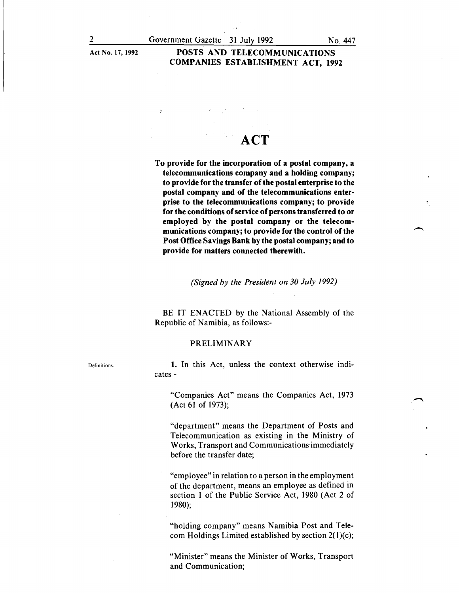### Act No. 17, 1992 POSTS AND TELECOMMUNICATIONS COMPANIES ESTABLISHMENT ACT, 1992

# **ACT**

To provide for the incorporation of a postal company, a telecommunications company and a holding company; to provide for the transfer of the postal enterprise to the postal company and of the telecommunications enterprise to the telecommunications company; to provide for the conditions of service of persons transferred to or employed by the postal company or the telecommunications company; to provide for the control of the Post Office Savings Bank by the postal company; and to provide for matters connected therewith.

*(Signed by the President on 30 July 1992)* 

BE IT ENACTED by the National Assembly of the Republic of Namibia, as follows:-

#### PRELIMINARY

1. In this Act, unless the context otherwise indicates-

"Companies Act" means the Companies Act, 1973 (Act 61 of 1973);

"department" means the Department of Posts and Telecommunication as existing in the Ministry of Works, Transport and Communications immediately before the transfer date;

"employee" in relation to a person in the employment of the department, means an employee as defined in section I of the Public Service Act, 1980 (Act 2 of 1980);

"holding company" means Namibia Post and Telecom Holdings Limited established by section 2(l)(c);

"Minister" means the Minister of Works, Transport and Communication;

Definitions.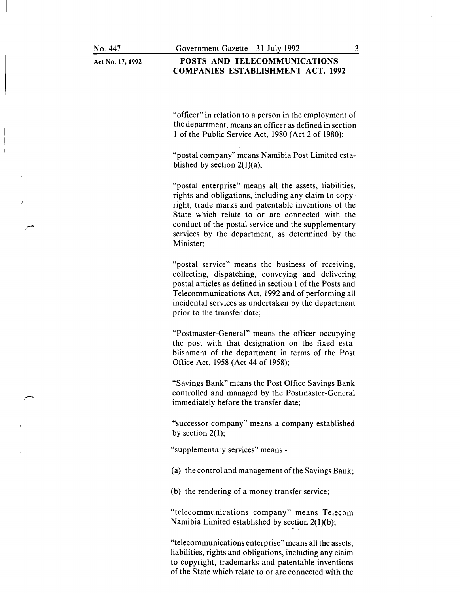#### POSTS AND TELECOMMUNICATIONS COMPANIES ESTABLISHMENT ACT, 1992

"officer" in relation to a person in the employment of the department, means an officer as defined in section 1 of the Public Service Act, 1980 (Act 2 of 1980);

"postal company" means Namibia Post Limited established by section  $2(1)(a)$ ;

"postal enterprise" means all the assets, liabilities, rights and obligations, including any claim to copyright, trade marks and patentable inventions of the State which relate to or are connected with the conduct of the postal service and the supplementary services by the department, as determined by the Minister;

"postal service" means the business of receiving, collecting, dispatching, conveying and delivering postal articles as defined in section 1 of the Posts and Telecommunications Act, 1992 and of performing all incidental services as undertaken by the department prior to the transfer date;

"Postmaster-General" means the officer occupying the post with that designation on the fixed establishment of the department in terms of the Post Office Act, 1958 (Act 44 of 1958);

"Savings Bank" means the Post Office Savings Bank controlled and managed by the Postmaster-General immediately before the transfer date;

"successor company" means a company established by section  $2(1)$ ;

"supplementary services" means -

(a) the control and management of the Savings Bank;

(b) the rendering of a money transfer service;

"telecommunications company" means Telecom Namibia Limited established by section  $2(1)(b)$ ;

~

"telecommunications enterprise" means all the assets, liabilities, rights and obligations, including any claim to copyright, trademarks and patentable inventions of the State which relate to or are connected with the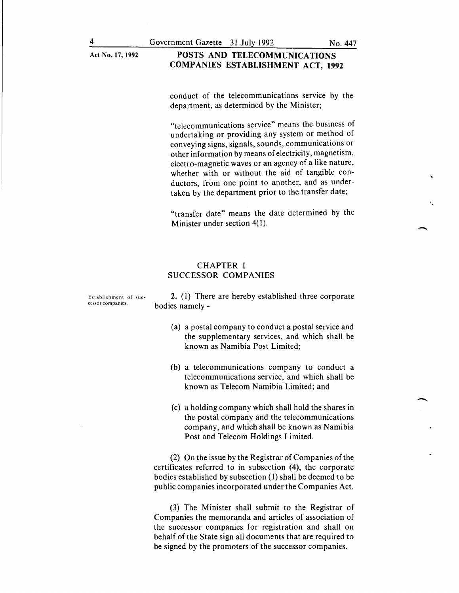#### Act No. 17, 1992 POSTS AND TELECOMMUNICATIONS COMPANIES ESTABLISHMENT ACT, 1992

conduct of the telecommunications service by the department, as determined by the Minister;

"telecommunications service" means the business of undertaking or providing any system or method of conveying signs, signals, sounds, communications or other information by means of electricity, magnetism, electro-magnetic waves or an agency of a like nature, whether with or without the aid of tangible conductors, from one point to another, and as undertaken by the department prior to the transfer date;

"transfer date" means the date determined by the Minister under section 4(1).

#### CHAPTER I SUCCESSOR COMPANIES

2. (I) There are hereby established three corporate bodies namely -

- (a) a postal company to conduct a postal service and the supplementary services, and which shall be known as Namibia Post Limited;
- (b) a telecommunications company to conduct a telecommunications service, and which shall be known as Telecom Namibia Limited; and
- (c) a holding company which shall hold the shares in the postal company and the telecommunications company, and which shall be known as Namibia Post and Telecom Holdings Limited.

(2) On the issue by the Registrar of Companies of the certificates referred to in subsection (4), the corporate bodies established by subsection (I) shall be deemed to be public companies incorporated under the Companies Act.

(3) The Minister shall submit to the Registrar of Companies the memoranda and articles of association of the successor companies for registration and shall on behalf of the State sign all documents that are required to be signed by the promoters of the successor companies.

Establishment of successor companies.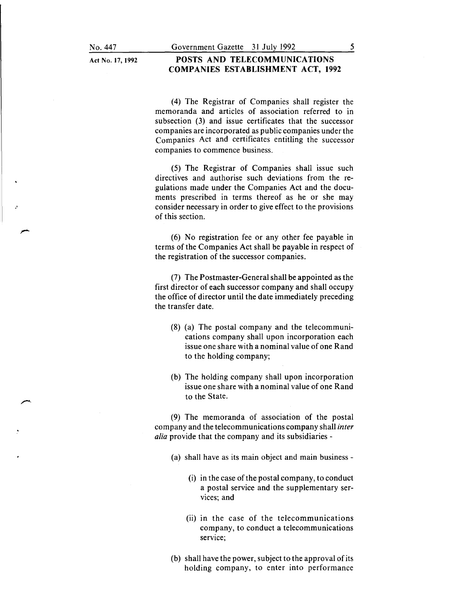.•

#### **POSTS AND TELECOMMUNICATIONS COMPANIES ESTABLISHMENT ACT, 1992**

( 4) The Registrar of Companies shall register the memoranda and articles of association referred to in subsection (3) and issue certificates that the successor companies are incorporated as public companies under the Companies Act and certificates entitling the successor companies to commence business.

(5) The Registrar of Companies shall issue such directives and authorise such deviations from the regulations made under the Companies Act and the documents prescribed in terms thereof as he or she may consider necessary in order to give effect to the provisions of this section.

(6) No registration fee or any other fee payable in terms of the Companies Act shall be payable in respect of the registration of the successor companies.

(7) The Postmaster-General shall be appointed as the first director of each successor company and shall occupy the office of director until the date immediately preceding the transfer date.

- (8) (a) The postal company and the telecommunications company shall upon incorporation each issue one share with a nominal value of one Rand to the holding company;
- (b) The holding company shall upon incorporation issue one share with a nominal value of one Rand to the State.

(9) The memoranda of association of the postal company and the telecommunications company shall *inter alia* provide that the company and its subsidiaries -

- (a) shall have as its main object and main business
	- (i) in the case of the postal company, to conduct a postal service and the supplementary services; and
	- (ii) in the case of the telecommunications company, to conduct a telecommunications service;
- (b) shall have the power, subject to the approval of its holding company, to enter into performance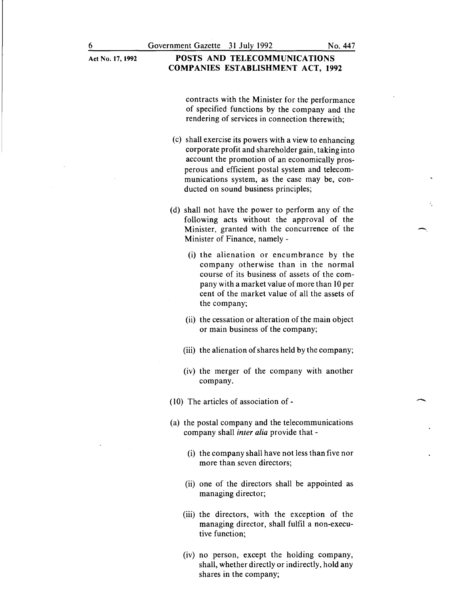#### Act No.l7, 1992 POSTS AND TELECOMMUNICATIONS COMPANIES ESTABLISHMENT ACT, 1992

contracts with the Minister for the performance of specified functions by the company and the rendering of services in connection therewith;

- (c) shall exercise its powers with a view to enhancing corporate profit and shareholder gain, taking into account the promotion of an economically prosperous and efficient postal system and telecommunications system, as the case may be, conducted on sound business principles;
- (d) shall not have the power to perform any of the following acts without the approval of the Minister, granted with the concurrence of the Minister of Finance, namely -
	- (i) the alienation or encumbrance by the company otherwise than in the normal course of its business of assets of the company with a market value of more than 10 per cent of the market value of all the assets of the company;
	- (ii) the cessation or alteration of the main object or main business of the company;
	- (iii) the alienation of shares held by the company;
	- (iv) the merger of the company with another company.
- (10) The articles of association of-
- (a) the postal company and the telecommunications company shall *inter alia* provide that -
	- (i) the company shall have not less than five nor more than seven directors;
	- (ii) one of the directors shall be appointed as managing director;
	- (iii) the directors, with the exception of the managing director, shall fulfil a non-executive function;
	- (iv) no person, except the holding company, shall, whether directly or indirectly, hold any shares in the company;

 $\overline{\phantom{a}}$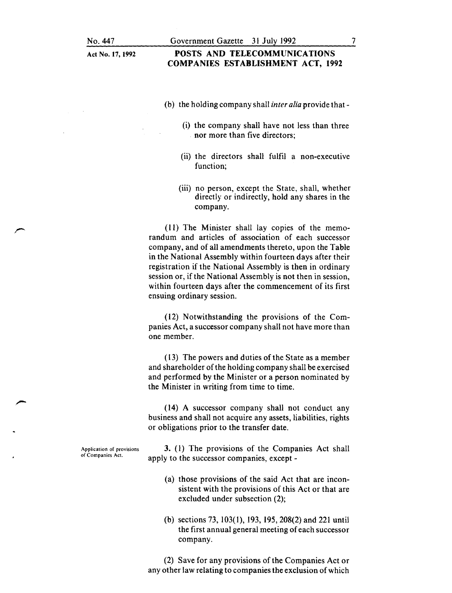## POSTS AND TELECOMMUNICATIONS COMPANIES ESTABLISHMENT ACT, 1992

- (b) the holding company shall *inter alia* provide that-
	- (i) the company shall have not less than three nor more than five directors;
	- (ii) the directors shall fulfil a non-executive function;
	- (iii) no person, except the State, shall, whether directly or indirectly, hold any shares in the company.

(11) The Minister shall lay copies of the memorandum and articles of association of each successor company, and of all amendments thereto, upon the Table in the National Assembly within fourteen days after their registration if the National Assembly is then in ordinary session or, if the National Assembly is not then in session, within fourteen days after the commencement of its first ensuing ordinary session.

(12) Notwithstanding the provisions of the Companies Act, a successor company shall not have more than one member.

(13) The powers and duties of the State as a member and shareholder of the holding company shall be exercised and performed by the Minister or a person nominated by the Minister in writing from time to time.

(14) A successor company shall not conduct any business and shall not acquire any assets, liabilities, rights or obligations prior to the transfer date.

Application of provisions of Companies Act.

3. (1) The provisions of the Companies Act shall apply to the successor companies, except -

- (a) those provisions of the said Act that are inconsistent with the provisions of this Act or that are excluded under subsection (2);
- (b) sections 73, 103(1), 193, 195, 208(2) and 221 until the first annual general meeting of each successor company.

(2) Save for any provisions of the Companies Act or any other law relating to companies the exclusion of which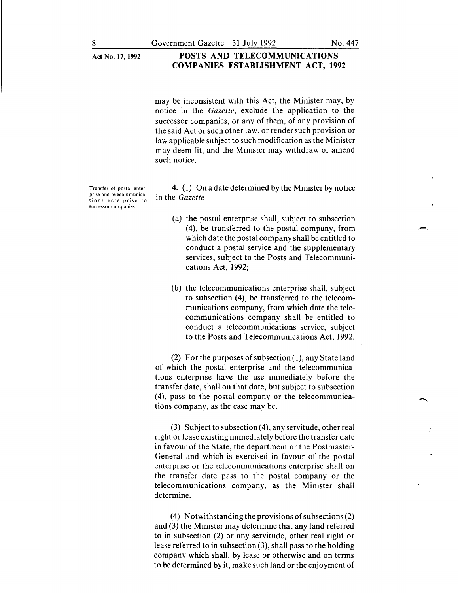may be inconsistent with this Act, the Minister may, by notice in the *Gazette,* exclude the application to the successor companies, or any of them, of any provision of the said Act or such other law, or render such provision or law applicable subject to such modification as the Minister may deem fit, and the Minister may withdraw or amend such notice.

Transfer of postal enterprise and telecommunications enterprise to successor companies.

4. (I) On a date determined by the Minister by notice in the *Gazette* -

- (a) the postal enterprise shall, subject to subsection (4), be transferred to the postal company, from which date the postal company shall be entitled to conduct a postal service and the supplementary services, subject to the Posts and Telecommunications Act, I992;
- (b) the telecommunications enterprise shall, subject to subsection (4), be transferred to the telecommunications company, from which date the telecommunications company shall be entitled to conduct a telecommunications service, subject to the Posts and Telecommunications Act, I992.

(2) For the purposes of subsection (I), any State land of which the postal enterprise and the telecommunications enterprise have the use immediately before the transfer date, shall on that date, but subject to subsection (4), pass to the postal company or the telecommunications company, as the case may be.

(3) Subject to subsection  $(4)$ , any servitude, other real right or lease existing immediately before the transfer date in favour of the State, the department or the Postmaster-General and which is exercised in favour of the postal enterprise or the telecommunications enterprise shall on the transfer date pass to the postal company or the telecommunications company, as the Minister shall determine.

( 4) Notwithstanding the provisions of subsections (2) and (3) the Minister may determine that any land referred to in subsection (2) or any servitude, other real right or lease referred to in subsection (3), shall pass to the holding company which shall, by lease or otherwise and on terms to be determined by it, make such land or the enjoyment of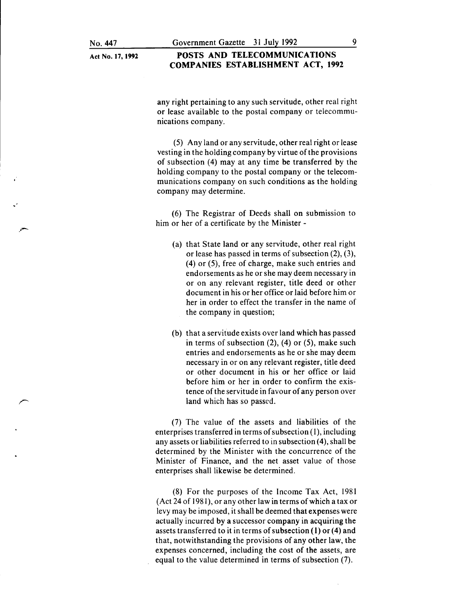#### **POSTS AND TELECOMMUNICATIONS COMPANIES ESTABLISHMENT ACT, 1992**

any right pertaining to any such servitude, other real right or lease available to the postal company or telecommunications company.

(5) Any land or any servitude, other real right or lease vesting in the holding company by virtue of the provisions of subsection (4) may at any time be transferred by the holding company to the postal company or the telecommunications company on such conditions as the holding company may determine.

(6) The Registrar of Deeds shall on submission to him or her of a certificate by the Minister -

- (a) that State land or any servitude, other real right or lease has passed in terms of subsection (2), (3), (4) or (5), free of charge, make such entries and endorsements as he or she may deem necessary in or on any relevant register, title deed or other document in his or her office or laid before him or her in order to effect the transfer in the name of the company in question;
- (b) that a servitude exists over land which has passed in terms of subsection  $(2)$ ,  $(4)$  or  $(5)$ , make such entries and endorsements as he or she may deem necessary in or on any relevant register, title deed or other document in his or her office or laid before him or her in order to confirm the existence of the servitude in favour of any person over land which has so passed.

(7) The value of the assets and liabilities of the enterprises transferred in terms of subsection (I), including any assets or liabilities referred to in subsection (4), shall be determined by the Minister with the concurrence of the Minister of Finance, and the net asset value of those enterprises shall likewise be determined.

(8) For the purposes of the Income Tax Act, 1981 (Act 24 of 1981), or any other law in terms of which a tax or levy may be imposed, it shall be deemed that expenses were actually incurred by a successor company in acquiring the assets transferred to it in terms of subsection  $(1)$  or  $(4)$  and that, notwithstanding the provisions of any other law, the expenses concerned, including the cost of the assets, are equal to the value determined in terms of subsection (7).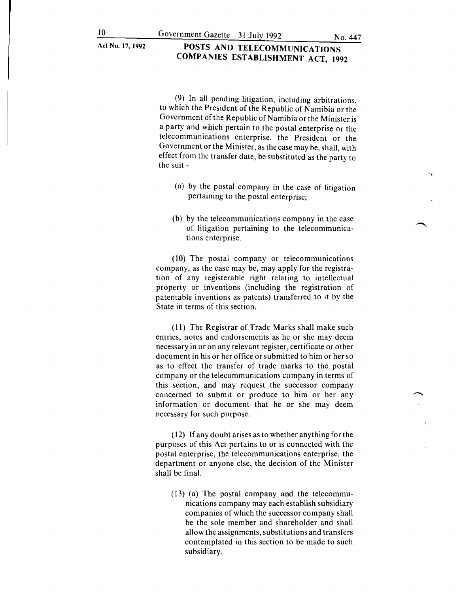(9) In all pending litigation, including arbitrations, to which the President of the Republic of Namibia or the Government of the Republic of Namibia or the Minister is a party and which pertain to the postal enterprise or the telecommunications enterprise, the President or the Government or the Minister, as the case may be, shall, with effect from the transfer date, be substituted as the party to the suit -

- (a) by the postal company in the case of litigation pertaining to the postal enterprise;
- (b) by the telecommunications company in the case of litigation pertaining to the telecommunications enterprise.

(10) The postal company or telecommunications company, as the case may be, may apply for the registration of any registerable right relating to intellectual property or inventions (including the registration of patentable inventions as patents) transferred to it by the State in terms of this section.

( 11) The Registrar of Trade Marks shall make such entries, notes and endorsements as he or she may deem necessary in or on any relevant register, certificate or other document in his or her office or submitted to him or her so as to effect the transfer of trade marks to the postal company or the telecommunications company in terms of this section, and may request the successor company concerned to submit or produce to him or her any information or document that he or she may deem necessary for such purpose.

(12) If any doubt arises as to whether anything for the purposes of this Act pertains to or is connected with the postal enterprise, the telecommunications enterprise, the department or anyone else, the decision of the Minister shall be final.

(13) (a) The postal company and the telecommunications company may each establish subsidiary companies of which the successor company shall be the sole member and shareholder and shall allow the assignments, substitutions and transfers contemplated in this section to be made to such subsidiary.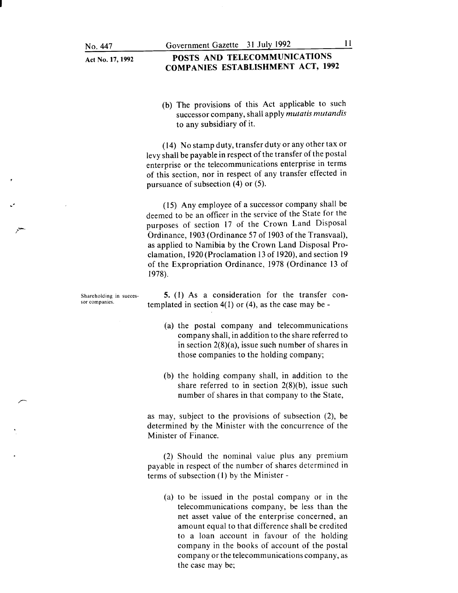#### POSTS AND TELECOMMUNICATIONS COMPANIES ESTABLISHMENT ACT, 1992

(b) The provisions of this Act applicable to such successor company, shall apply *mutatis mutandis*  to any subsidiary of it.

(14) No stamp duty, transfer duty or any other tax or levy shall be payable in respect of the transfer of the postal enterprise or the telecommunications enterprise in terms of this section, nor in respect of any transfer effected in pursuance of subsection (4) or (5).

( 15) Any employee of a successor company shall be deemed to be an officer in the service of the State for the purposes of section 17 of the Crown Land Disposal Ordinance, 1903 (Ordinance 57 of 1903 of the Transvaal), as applied to Namibia by the Crown Land Disposal Proclamation, 1920 (Proclamation 13 of 1920), and section 19 of the Expropriation Ordinance, 1978 (Ordinance 13 of 1978).

5. (I) As a consideration for the transfer contemplated in section  $4(1)$  or  $(4)$ , as the case may be -

- (a) the postal company and telecommunications company shall, in addition to the share referred to in section 2(8)(a), issue such number of shares in those companies to the holding company;
- (b) the holding company shall, in addition to the share referred to in section  $2(8)(b)$ , issue such number of shares in that company to the State,

as may, subject to the provisions of subsection (2), be determined by the Minister with the concurrence of the Minister of Finance.

(2) Should the nominal value plus any premium payable in respect of the number of shares determined in terms of subsection (I) by the Minister-

(a) to be issued in the postal company or in the telecommunications company, be less than the net asset value of the enterprise concerned, an amount equal to that difference shall be credited to a loan account in favour of the holding company in the books of account of the postal company or the telecommunications company, as the case may be;

Shareholding in successor companies.

.·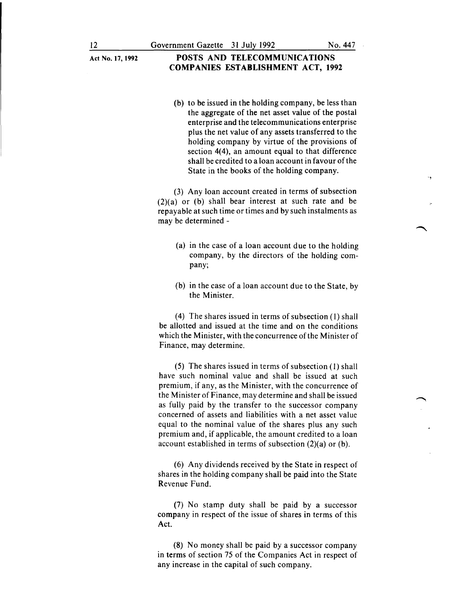(b) to be issued in the holding company, be less than the aggregate of the net asset value of the postal enterprise and the telecommunications enterprise plus the net value of any assets transferred to the holding company by virtue of the provisions of section 4(4), an amount equal to that difference shall be credited to a loan account in favour of the State in the books of the holding company.

(3) Any loan account created in terms of subsection  $(2)(a)$  or (b) shall bear interest at such rate and be repayable at such time or times and by such instalments as may be determined -

- (a) in the case of a loan account due to the holding company, by the directors of the holding company;
- (b) in the case of a loan account due to the State, by the Minister.

(4) The shares issued in terms of subsection (1) shall be allotted and issued at the time and on the conditions which the Minister, with the concurrence of the Minister of Finance, may determine.

(5) The shares issued in terms of subsection (1) shall have such nominal value and shall be issued at such premium, if any, as the Minister, with the concurrence of the Minister of Finance, may determine and shall be issued as fully paid by the transfer to the successor company concerned of assets and liabilities with a net asset value equal to the nominal value of the shares plus any such premium and, if applicable, the amount credited to a loan account established in terms of subsection (2)(a) or (b).

(6) Any dividends received by the State in respect of shares in the holding company shall be paid into the State Revenue Fund.

(7) No stamp duty shall be paid by a successor company in respect of the issue of shares in terms of this Act.

(8) No money shall be paid by a successor company in terms of section 75 of the Companies Act in respect of any increase in the capital of such company.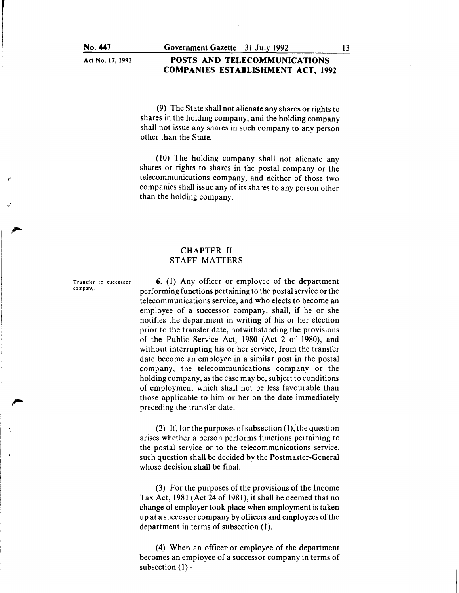#### **POSTS AND TELECOMMUNICATIONS COMPANIES ESTABLISHMENT ACT, 1992**

(9) The State shall not alienate any shares or rights to shares in the holding company, and the holding company shall not issue any shares in such company to any person other than the State.

 $(10)$  The holding company shall not alienate any shares or rights to shares in the postal company or the telecommunications company, and neither of those two companies shall issue any of its shares to any person other than the holding company.

#### CHAPTER II STAFF MATTERS

Transfer to successor company.

6. (I) Any officer or employee of the department performing functions pertaining to the postal service or the telecommunications service, and who elects to become an employee of a successor company, shall, if he or she notifies the department in writing of his or her election prior to the transfer date, notwithstanding the provisions of the Public Service Act, 1980 (Act 2 of 1980), and without interrupting his or her service, from the transfer date become an employee in a similar post in the postal company, the telecommunications company or the holding company, as the case may be, subject to conditions of employment which shall not be less favourable than those applicable to him or her on the date immediately preceding the transfer date.

(2) If, for the purposes of subsection (1), the question arises whether a person performs functions pertaining to the postal service or to the telecommunications service, such question shall be decided by the Postmaster-General whose decision shall be final.

 $(3)$  For the purposes of the provisions of the Income Tax Act, 1981 (Act 24 of 1981), it shall be deemed that no change of employer took place when employment is taken up at a successor company by officers and employees of the department in terms of subsection (1).

(4) When an officer or employee of the department becomes an employee of a successor company in terms of subsection (1)-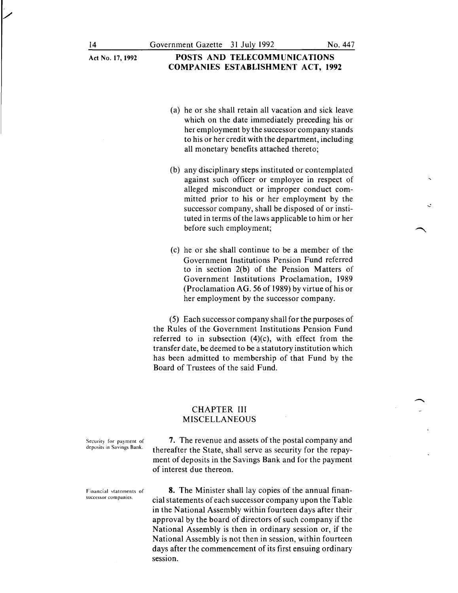- (a) he or she shall retain all vacation and sick leave which on the date immediately preceding his or her employment by the successor company stands to his or her credit with the department, including all monetary benefits attached thereto;
- (b) any disciplinary steps instituted or contemplated against such officer or employee in respect of alleged misconduct or improper conduct committed prior to his or her employment by the successor company, shall be disposed of or instituted in terms of the laws applicable to him or her before such employment;
- (c) he or she shall continue to be a member of the Government Institutions Pension Fund referred to in section 2(b) of the Pension Matters of Government Institutions Proclamation, 1989 (Proclamation AG. 56 of 1989) by virtue of his or her employment by the successor company.

(5) Each successor company shall for the purposes of the Rules of the Government Institutions Pension Fund referred to in subsection  $(4)(c)$ , with effect from the transfer date, be deemed to be a statutory institution which has been admitted to membership of that Fund by the Board of Trustees of the said Fund.

#### CHAPTER III MISCELLANEOUS

Security for payment of deposits in Savings Bank.

7. The revenue and assets of the postal company and thereafter the State, shall serve as security for the repayment of deposits in the Savings Bank and for the payment of interest due thereon.

Financial statements of successor companies.

8. The Minister shall lay copies of the annual financial statements of each successor company upon the Table in the National Assembly within fourteen days after their approval by the board of directors of such company if the National Assembly is then in ordinary session or, if the National Assembly is not then in session, within fourteen days after the commencement of its first ensuing ordinary session.

/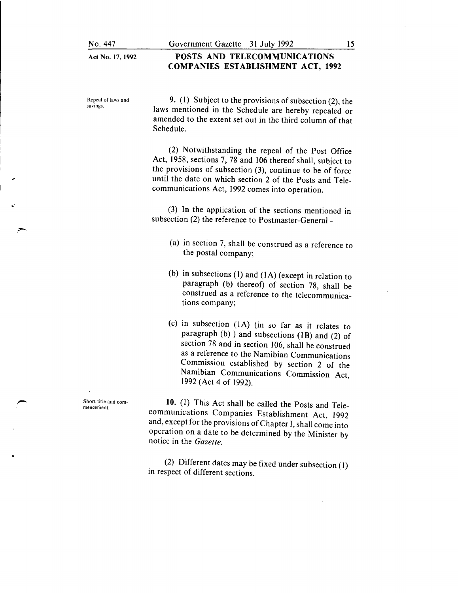#### **POSTS AND TELECOMMUNICATIONS COMPANIES ESTABLISHMENT ACT, 1992**

Repeal of laws and savings.

..

9. (1) Subject to the provisions of subsection (2), the laws mentioned in the Schedule are hereby repealed or amended to the extent set out in the third column of that Schedule.

(2) Notwithstanding the repeal of the Post Office Act, 1958, sections 7, 78 and 106 thereof shall, subject to the provisions of subsection (3), continue to be of force until the date on which section 2 of the Posts and Telecommunications Act, 1992 comes into operation.

(3) In the application of the sections mentioned in subsection (2) the reference to Postmaster-General -

- (a) in section 7, shall be construed as a reference to the postal company;
- (b) in subsections (1) and (IA) (except in relation to paragraph (b) thereof) of section 78, shall be construed as a reference to the telecommunications company;
- (c) in subsection (IA) (in so far as it relates to paragraph (b) ) and subsections (IB) and (2) of section 78 and in section 106, shall be construed as a reference to the Namibian Communications Commission established by section 2 of the Namibian Communications Commission Act, 1992 (Act 4 of 1992).

**10.** (1) This Act shall be called the Posts and Telecommunications Companies Establishment Act, 1992 and, except for the provisions of Chapter I, shall come into operation on a date to be determined by the Minister by notice in the *Gazette.* 

(2) Different dates may be fixed under subsection (1) in respect of different sections.

Short title and commencement.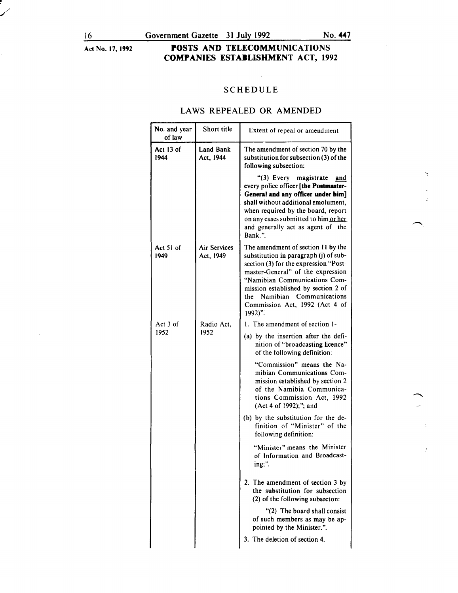/

Act No. 17, 1992

## POSTS AND TELECOMMUNICATIONS COMPANIES ESTABLISHMENT ACT, 1992

### SCHEDULE

 $\mathbf{r}$ 

### LAWS REPEALED OR AMENDED

| No. and year<br>of law | Short title               | Extent of repeal or amendment                                                                                                                                                                                                                                                                                  |
|------------------------|---------------------------|----------------------------------------------------------------------------------------------------------------------------------------------------------------------------------------------------------------------------------------------------------------------------------------------------------------|
| Act 13 of<br>1944      | Land Bank<br>Act, 1944    | The amendment of section 70 by the<br>substitution for subsection $(3)$ of the<br>following subsection:                                                                                                                                                                                                        |
|                        |                           | "(3) Every magistrate<br>and<br>every police officer [the Postmaster-<br>General and any officer under him]<br>shall without additional emolument,<br>when required by the board, report<br>on any cases submitted to him or her<br>and generally act as agent of the<br>Bank."                                |
| Act 51 of<br>1949      | Air Services<br>Act, 1949 | The amendment of section 11 by the<br>substitution in paragraph (j) of sub-<br>section (3) for the expression "Post-<br>master-General" of the expression<br>"Namibian Communications Com-<br>mission established by section 2 of<br>the Namibian Communications<br>Commission Act, 1992 (Act 4 of<br>$1992$ . |
| Act 3 of<br>1952       | Radio Act.<br>1952        | 1. The amendment of section 1-<br>(a) by the insertion after the defi-<br>nition of "broadcasting licence"<br>of the following definition:                                                                                                                                                                     |
|                        |                           | "Commission" means the Na-<br>mibian Communications Com-<br>mission established by section 2<br>of the Namibia Communica-<br>tions Commission Act, 1992<br>(Act 4 of 1992);"; and                                                                                                                              |
|                        |                           | (b) by the substitution for the de-<br>finition of "Minister" of the<br>following definition:                                                                                                                                                                                                                  |
|                        |                           | "Minister" means the Minister<br>of Information and Broadcast-<br>ing;".                                                                                                                                                                                                                                       |
|                        |                           | 2. The amendment of section 3 by<br>the substitution for subsection<br>(2) of the following subsecton:                                                                                                                                                                                                         |
|                        |                           | "(2) The board shall consist<br>of such members as may be ap-<br>pointed by the Minister.".                                                                                                                                                                                                                    |
|                        |                           | 3. The deletion of section 4.                                                                                                                                                                                                                                                                                  |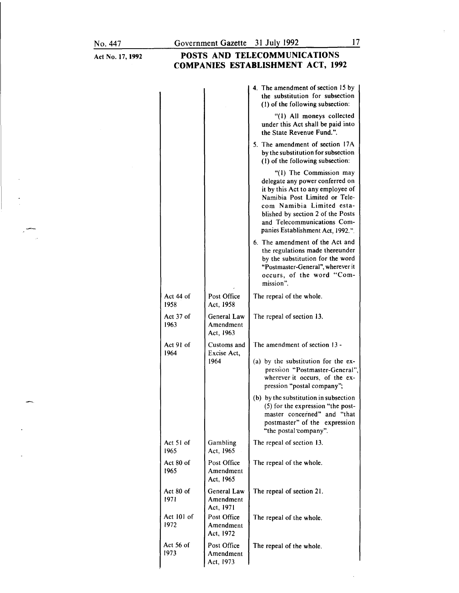Act No.l7, 1992

# **POSTS AND TELECOMMUNICATIONS COMPANIES ESTABLISHMENT ACT, 1992**

|                    |                                       | 4. The amendment of section 15 by<br>the substitution for subsection<br>(1) of the following subsection:                                                                                                                                                               |
|--------------------|---------------------------------------|------------------------------------------------------------------------------------------------------------------------------------------------------------------------------------------------------------------------------------------------------------------------|
|                    |                                       | "(1) All moneys collected<br>under this Act shall be paid into<br>the State Revenue Fund.".                                                                                                                                                                            |
|                    |                                       | 5. The amendment of section 17A<br>by the substitution for subsection<br>(1) of the following subsection:                                                                                                                                                              |
|                    |                                       | "(1) The Commission may<br>delegate any power conferred on<br>it by this Act to any employee of<br>Namibia Post Limited or Tele-<br>com Namibia Limited esta-<br>blished by section 2 of the Posts<br>and Telecommunications Com-<br>panies Establishment Act, 1992.". |
|                    |                                       | 6. The amendment of the Act and<br>the regulations made thereunder<br>by the substitution for the word<br>"Postmaster-General", wherever it<br>occurs, of the word "Com-<br>mission".                                                                                  |
| Act 44 of<br>1958  | Post Office<br>Act, 1958              | The repeal of the whole.                                                                                                                                                                                                                                               |
| Act 37 of<br>1963  | General Law<br>Amendment<br>Act, 1963 | The repeal of section 13.                                                                                                                                                                                                                                              |
| Act 91 of<br>1964  | Customs and<br>Excise Act,<br>1964    | The amendment of section 13 -                                                                                                                                                                                                                                          |
|                    |                                       | (a) by the substitution for the ex-<br>pression "Postmaster-General",<br>wherever it occurs, of the ex-<br>pression "postal company";                                                                                                                                  |
|                    |                                       | (b) by the substitution in subsection<br>(5) for the expression "the post-<br>master concerned" and "that<br>postmaster" of the<br>expression<br>"the postal company".                                                                                                 |
| Act 51 of<br>1965  | Gambling<br>Act, 1965                 | The repeal of section 13.                                                                                                                                                                                                                                              |
| Act 80 of<br>1965  | Post Office<br>Amendment<br>Act, 1965 | The repeal of the whole.                                                                                                                                                                                                                                               |
| Act 80 of<br>1971  | General Law<br>Amendment<br>Act, 1971 | The repeal of section 21.                                                                                                                                                                                                                                              |
| Act 101 of<br>1972 | Post Office<br>Amendment<br>Act, 1972 | The repeal of the whole.                                                                                                                                                                                                                                               |
| Act 56 of<br>1973  | Post Office<br>Amendment<br>Act, 1973 | The repeal of the whole.                                                                                                                                                                                                                                               |